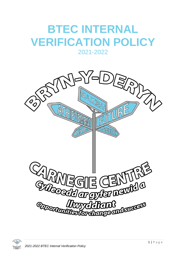## **BTEC INTERNAL VERIFICATION POLICY**

## 2021-2022



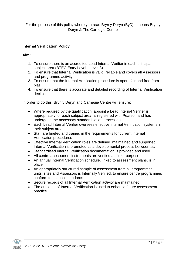For the purpose of this policy where you read Bryn y Deryn (ByD) it means Bryn y Deryn & The Carnegie Centre

## **Internal Verification Policy**

## **Aim:**

- 1. To ensure there is an accredited Lead Internal Verifier in each principal subject area (BTEC Entry Level - Level 3)
- 2. To ensure that Internal Verification is valid, reliable and covers all Assessors and programme activity.
- 3. To ensure that the Internal Verification procedure is open, fair and free from bias
- 4. To ensure that there is accurate and detailed recording of Internal Verification decisions

In order to do this, Bryn y Deryn and Carnegie Centre will ensure:

- Where required by the qualification, appoint a Lead Internal Verifier is appropriately for each subject area, is registered with Pearson and has undergone the necessary standardisation processes
- Each Lead Internal Verifier oversees effective Internal Verification systems in their subject area
- Staff are briefed and trained in the requirements for current Internal Verification procedures
- Effective Internal Verification roles are defined, maintained and supported Internal Verification is promoted as a developmental process between staff
- Standardised Internal Verification documentation is provided and used
- All centre assessment instruments are verified as fit for purpose
- An annual Internal Verification schedule, linked to assessment plans, is in place
- An appropriately structured sample of assessment from all programmes, units, sites and Assessors is Internally Verified, to ensure centre programmes conform to national standards
- Secure records of all Internal Verification activity are maintained
- The outcome of Internal Verification is used to enhance future assessment practice